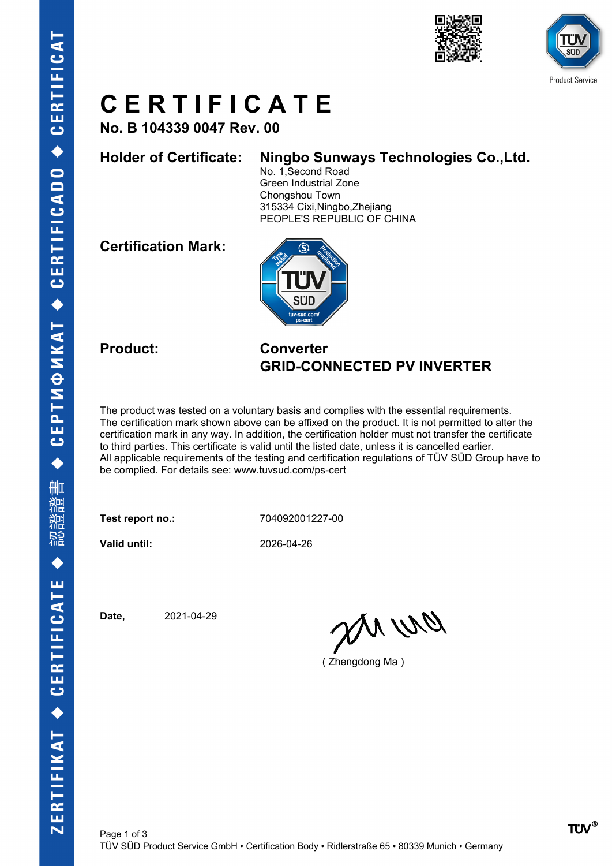



### **C E R T I F I C A T E**

**No. B 104339 0047 Rev. 00**

### **Holder of Certificate: Ningbo Sunways Technologies Co.,Ltd.**

No. 1,Second Road Green Industrial Zone Chongshou Town 315334 Cixi,Ningbo,Zhejiang PEOPLE'S REPUBLIC OF CHINA

**Certification Mark:**



### **Product: Converter GRID-CONNECTED PV INVERTER**

The product was tested on a voluntary basis and complies with the essential requirements. The certification mark shown above can be affixed on the product. It is not permitted to alter the certification mark in any way. In addition, the certification holder must not transfer the certificate to third parties. This certificate is valid until the listed date, unless it is cancelled earlier. All applicable requirements of the testing and certification regulations of TÜV SÜD Group have to be complied. For details see: www.tuvsud.com/ps-cert

**Test report no.:** 704092001227-00

**Valid until:** 2026-04-26

**Date,** 2021-04-29

anvio

( Zhengdong Ma )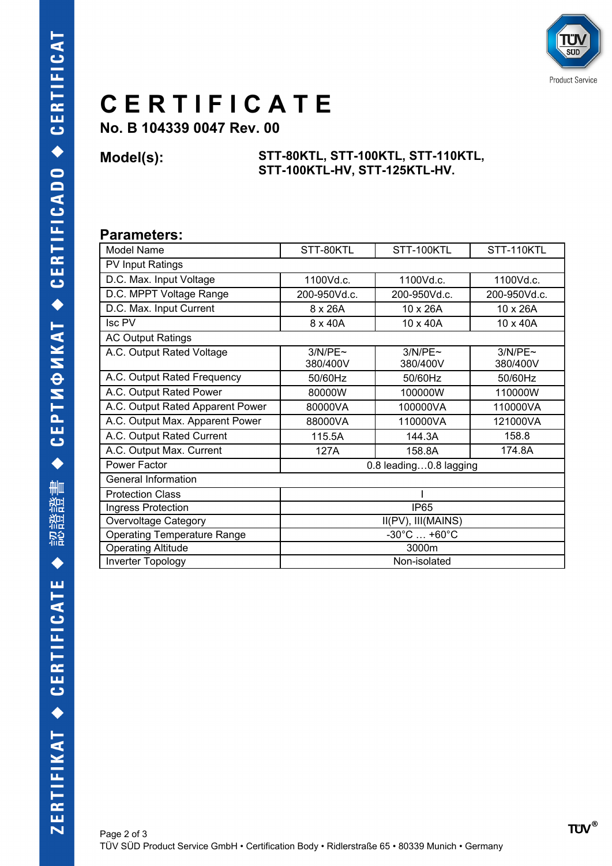

## **C E R T I F I C A T E**

**No. B 104339 0047 Rev. 00**

#### **Model(s): STT-80KTL, STT-100KTL, STT-110KTL, STT-100KTL-HV, STT-125KTL-HV.**

### **Parameters:**

| Model Name                         | STT-80KTL                       | STT-100KTL          | STT-110KTL             |  |
|------------------------------------|---------------------------------|---------------------|------------------------|--|
| PV Input Ratings                   |                                 |                     |                        |  |
| D.C. Max. Input Voltage            | 1100Vd.c.                       | 1100Vd.c.           | 1100Vd.c.              |  |
| D.C. MPPT Voltage Range            | 200-950Vd.c.                    | 200-950Vd.c.        | 200-950Vd.c.           |  |
| D.C. Max. Input Current            | 8 x 26A                         | 10 x 26A            | 10 x 26A               |  |
| <b>Isc PV</b>                      | 8 x 40A                         | 10 x 40A            | 10 x 40A               |  |
| <b>AC Output Ratings</b>           |                                 |                     |                        |  |
| A.C. Output Rated Voltage          | 3/N/PE~<br>380/400V             | 3/N/PE~<br>380/400V | $3/N/PE$ ~<br>380/400V |  |
| A.C. Output Rated Frequency        | 50/60Hz                         | 50/60Hz             | 50/60Hz                |  |
| A.C. Output Rated Power            | 80000W                          | 100000W             | 110000W                |  |
| A.C. Output Rated Apparent Power   | 80000VA                         | 100000VA            | 110000VA               |  |
| A.C. Output Max. Apparent Power    | 88000VA                         | 110000VA            | 121000VA               |  |
| A.C. Output Rated Current          | 115.5A                          | 144.3A              | 158.8                  |  |
| A.C. Output Max. Current           | 127A                            | 158.8A              | 174.8A                 |  |
| Power Factor                       | 0.8 leading0.8 lagging          |                     |                        |  |
| General Information                |                                 |                     |                        |  |
| <b>Protection Class</b>            |                                 |                     |                        |  |
| Ingress Protection                 | <b>IP65</b>                     |                     |                        |  |
| Overvoltage Category               | II(PV), III(MAINS)              |                     |                        |  |
| <b>Operating Temperature Range</b> | $-30^{\circ}$ C $+60^{\circ}$ C |                     |                        |  |
| <b>Operating Altitude</b>          | 3000m                           |                     |                        |  |
| Inverter Topology                  | Non-isolated                    |                     |                        |  |